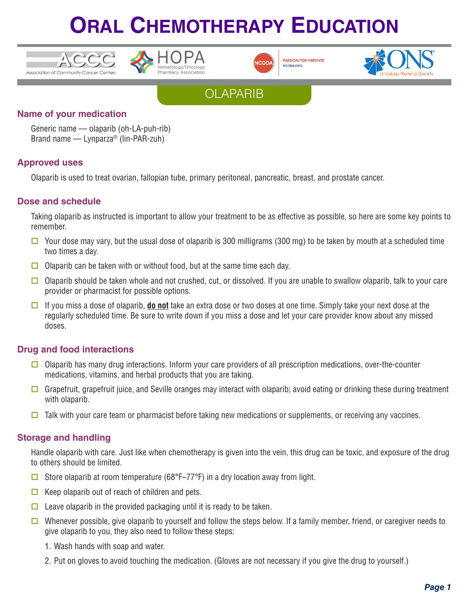





**PASSION FOR PATIENTS** NCODA.ORG





### **Name of your medication**

Generic name — olaparib (oh-LA-puh-rib) Brand name — Lynparza® (lin-PAR-zuh)

### **Approved uses**

Olaparib is used to treat ovarian, fallopian tube, primary peritoneal, pancreatic, breast, and prostate cancer.

### **Dose and schedule**

Taking olaparib as instructed is important to allow your treatment to be as effective as possible, so here are some key points to remember.

- $\Box$  Your dose may vary, but the usual dose of olaparib is 300 milligrams (300 mg) to be taken by mouth at a scheduled time two times a day.
- $\Box$  Olaparib can be taken with or without food, but at the same time each day.
- $\Box$  Olaparib should be taken whole and not crushed, cut, or dissolved. If you are unable to swallow olaparib, talk to your care provider or pharmacist for possible options.
- □ If you miss a dose of olaparib, **do not** take an extra dose or two doses at one time. Simply take your next dose at the regularly scheduled time. Be sure to write down if you miss a dose and let your care provider know about any missed doses.

### **Drug and food interactions**

- $\Box$  Olaparib has many drug interactions. Inform your care providers of all prescription medications, over-the-counter medications, vitamins, and herbal products that you are taking.
- Grapefruit, grapefruit juice, and Seville oranges may interact with olaparib; avoid eating or drinking these during treatment with olaparib.
- $\Box$  Talk with your care team or pharmacist before taking new medications or supplements, or receiving any vaccines.

### **Storage and handling**

Handle olaparib with care. Just like when chemotherapy is given into the vein, this drug can be toxic, and exposure of the drug to others should be limited.

- $\Box$  Store olaparib at room temperature (68°F–77°F) in a dry location away from light.
- $\Box$  Keep olaparib out of reach of children and pets.
- $\Box$  Leave olaparib in the provided packaging until it is ready to be taken.
- $\Box$  Whenever possible, give olaparib to yourself and follow the steps below. If a family member, friend, or caregiver needs to give olaparib to you, they also need to follow these steps:
	- 1. Wash hands with soap and water.
	- 2. Put on gloves to avoid touching the medication. (Gloves are not necessary if you give the drug to yourself.)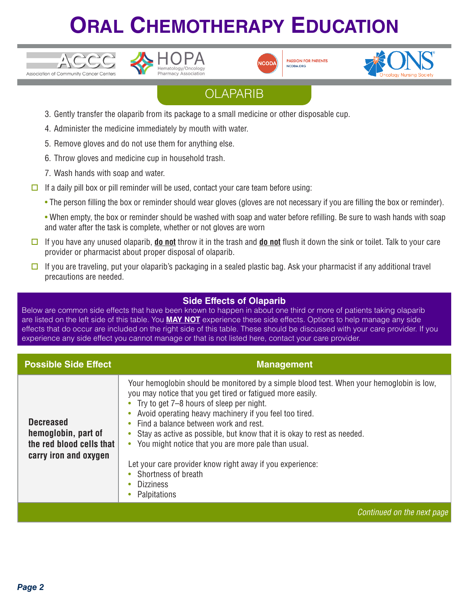





**PASSION FOR PATIENTS** NCODA.ORG



## **OLAPARIB**

- 3. Gently transfer the olaparib from its package to a small medicine or other disposable cup.
- 4. Administer the medicine immediately by mouth with water.
- 5. Remove gloves and do not use them for anything else.
- 6. Throw gloves and medicine cup in household trash.
- 7. Wash hands with soap and water.
- $\Box$  If a daily pill box or pill reminder will be used, contact your care team before using:
	- The person filling the box or reminder should wear gloves (gloves are not necessary if you are filling the box or reminder).
	- When empty, the box or reminder should be washed with soap and water before refilling. Be sure to wash hands with soap and water after the task is complete, whether or not gloves are worn
- $\Box$  If you have any unused olaparib, **do not** throw it in the trash and **do not** flush it down the sink or toilet. Talk to your care provider or pharmacist about proper disposal of olaparib.
- $\Box$  If you are traveling, put your olaparib's packaging in a sealed plastic bag. Ask your pharmacist if any additional travel precautions are needed.

### **Side Effects of Olaparib**

Below are common side effects that have been known to happen in about one third or more of patients taking olaparib are listed on the left side of this table. You **MAY NOT** experience these side effects. Options to help manage any side effects that do occur are included on the right side of this table. These should be discussed with your care provider. If you experience any side effect you cannot manage or that is not listed here, contact your care provider.

| <b>Possible Side Effect</b>                                                                  | <b>Management</b>                                                                                                                                                                                                                                                                                                                                                                                                                                                                                                                                                            |
|----------------------------------------------------------------------------------------------|------------------------------------------------------------------------------------------------------------------------------------------------------------------------------------------------------------------------------------------------------------------------------------------------------------------------------------------------------------------------------------------------------------------------------------------------------------------------------------------------------------------------------------------------------------------------------|
| <b>Decreased</b><br>hemoglobin, part of<br>the red blood cells that<br>carry iron and oxygen | Your hemoglobin should be monitored by a simple blood test. When your hemoglobin is low,<br>you may notice that you get tired or fatigued more easily.<br>Try to get 7–8 hours of sleep per night.<br>Avoid operating heavy machinery if you feel too tired.<br>Find a balance between work and rest.<br>Stay as active as possible, but know that it is okay to rest as needed.<br>You might notice that you are more pale than usual.<br>$\bullet$<br>Let your care provider know right away if you experience:<br>Shortness of breath<br><b>Dizziness</b><br>Palpitations |
|                                                                                              | Continued on the next page                                                                                                                                                                                                                                                                                                                                                                                                                                                                                                                                                   |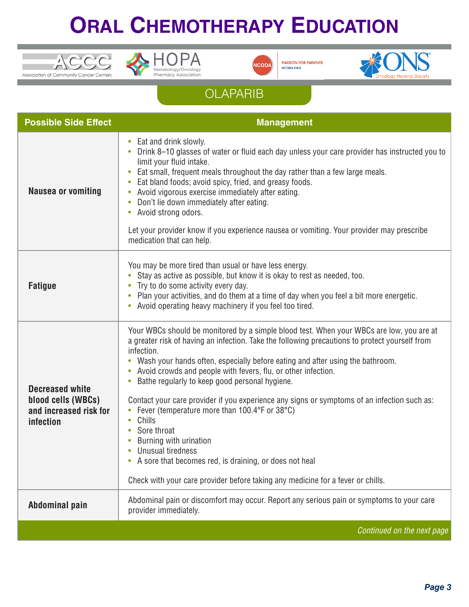





**PASSION FOR PATIENTS**<br>NCODA.ORG



## **OLAPARIB**

| <b>Possible Side Effect</b>                                                  | <b>Management</b>                                                                                                                                                                                                                                                                                                                                                                                                                                                                                                                                                                                                                                                                                                                                                                 |
|------------------------------------------------------------------------------|-----------------------------------------------------------------------------------------------------------------------------------------------------------------------------------------------------------------------------------------------------------------------------------------------------------------------------------------------------------------------------------------------------------------------------------------------------------------------------------------------------------------------------------------------------------------------------------------------------------------------------------------------------------------------------------------------------------------------------------------------------------------------------------|
| <b>Nausea or vomiting</b>                                                    | Eat and drink slowly.<br>$\bullet$<br>Drink 8-10 glasses of water or fluid each day unless your care provider has instructed you to<br>limit your fluid intake.<br>Eat small, frequent meals throughout the day rather than a few large meals.<br>$\bullet$<br>Eat bland foods; avoid spicy, fried, and greasy foods.<br>$\bullet$<br>Avoid vigorous exercise immediately after eating.<br>$\bullet$<br>Don't lie down immediately after eating.<br>$\bullet$<br>Avoid strong odors.<br>$\bullet$<br>Let your provider know if you experience nausea or vomiting. Your provider may prescribe<br>medication that can help.                                                                                                                                                        |
| <b>Fatigue</b>                                                               | You may be more tired than usual or have less energy.<br>Stay as active as possible, but know it is okay to rest as needed, too.<br>Try to do some activity every day.<br>Plan your activities, and do them at a time of day when you feel a bit more energetic.<br>Avoid operating heavy machinery if you feel too tired.                                                                                                                                                                                                                                                                                                                                                                                                                                                        |
| Decreased white<br>blood cells (WBCs)<br>and increased risk for<br>infection | Your WBCs should be monitored by a simple blood test. When your WBCs are low, you are at<br>a greater risk of having an infection. Take the following precautions to protect yourself from<br>infection.<br>Wash your hands often, especially before eating and after using the bathroom.<br>Avoid crowds and people with fevers, flu, or other infection.<br>Bathe regularly to keep good personal hygiene.<br>Contact your care provider if you experience any signs or symptoms of an infection such as:<br>Fever (temperature more than 100.4°F or 38°C)<br>Chills<br>Sore throat<br>Burning with urination<br>Unusual tiredness<br>A sore that becomes red, is draining, or does not heal<br>Check with your care provider before taking any medicine for a fever or chills. |
| <b>Abdominal pain</b>                                                        | Abdominal pain or discomfort may occur. Report any serious pain or symptoms to your care<br>provider immediately.                                                                                                                                                                                                                                                                                                                                                                                                                                                                                                                                                                                                                                                                 |
|                                                                              | Continued on the next page                                                                                                                                                                                                                                                                                                                                                                                                                                                                                                                                                                                                                                                                                                                                                        |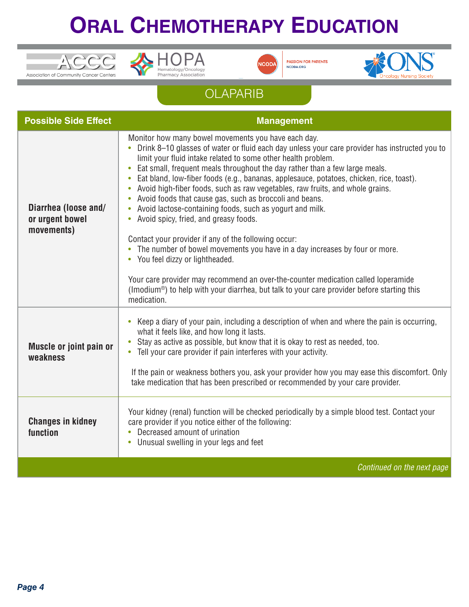





**PASSION FOR PATIENTS<br>NCODA.ORG** 



## **OLAPARIB**

| <b>Possible Side Effect</b>                           | <b>Management</b>                                                                                                                                                                                                                                                                                                                                                                                                                                                                                                                                                                                                                                               |
|-------------------------------------------------------|-----------------------------------------------------------------------------------------------------------------------------------------------------------------------------------------------------------------------------------------------------------------------------------------------------------------------------------------------------------------------------------------------------------------------------------------------------------------------------------------------------------------------------------------------------------------------------------------------------------------------------------------------------------------|
| Diarrhea (loose and/<br>or urgent bowel<br>movements) | Monitor how many bowel movements you have each day.<br>• Drink 8-10 glasses of water or fluid each day unless your care provider has instructed you to<br>limit your fluid intake related to some other health problem.<br>Eat small, frequent meals throughout the day rather than a few large meals.<br>Eat bland, low-fiber foods (e.g., bananas, applesauce, potatoes, chicken, rice, toast).<br>$\bullet$<br>Avoid high-fiber foods, such as raw vegetables, raw fruits, and whole grains.<br>Avoid foods that cause gas, such as broccoli and beans.<br>Avoid lactose-containing foods, such as yogurt and milk.<br>Avoid spicy, fried, and greasy foods. |
|                                                       | Contact your provider if any of the following occur:<br>The number of bowel movements you have in a day increases by four or more.<br>You feel dizzy or lightheaded.<br>$\bullet$                                                                                                                                                                                                                                                                                                                                                                                                                                                                               |
|                                                       | Your care provider may recommend an over-the-counter medication called loperamide<br>(Imodium <sup>®</sup> ) to help with your diarrhea, but talk to your care provider before starting this<br>medication.                                                                                                                                                                                                                                                                                                                                                                                                                                                     |
| Muscle or joint pain or<br>weakness                   | Keep a diary of your pain, including a description of when and where the pain is occurring,<br>$\bullet$<br>what it feels like, and how long it lasts.<br>Stay as active as possible, but know that it is okay to rest as needed, too.<br>Tell your care provider if pain interferes with your activity.                                                                                                                                                                                                                                                                                                                                                        |
|                                                       | If the pain or weakness bothers you, ask your provider how you may ease this discomfort. Only<br>take medication that has been prescribed or recommended by your care provider.                                                                                                                                                                                                                                                                                                                                                                                                                                                                                 |
| <b>Changes in kidney</b><br>function                  | Your kidney (renal) function will be checked periodically by a simple blood test. Contact your<br>care provider if you notice either of the following:<br>Decreased amount of urination<br>$\bullet$<br>Unusual swelling in your legs and feet                                                                                                                                                                                                                                                                                                                                                                                                                  |
|                                                       | Continued on the next page                                                                                                                                                                                                                                                                                                                                                                                                                                                                                                                                                                                                                                      |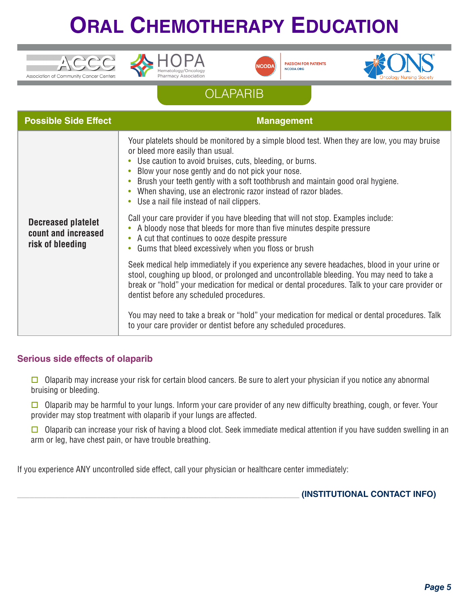





**PASSION FOR PATIENTS** NCODA.ORG



## **OLAPARIB**

| <b>Possible Side Effect</b>                                          | <b>Management</b>                                                                                                                                                                                                                                                                                                                                                                                                                                |
|----------------------------------------------------------------------|--------------------------------------------------------------------------------------------------------------------------------------------------------------------------------------------------------------------------------------------------------------------------------------------------------------------------------------------------------------------------------------------------------------------------------------------------|
| <b>Decreased platelet</b><br>count and increased<br>risk of bleeding | Your platelets should be monitored by a simple blood test. When they are low, you may bruise<br>or bleed more easily than usual.<br>Use caution to avoid bruises, cuts, bleeding, or burns.<br>Blow your nose gently and do not pick your nose.<br>Brush your teeth gently with a soft toothbrush and maintain good oral hygiene.<br>When shaving, use an electronic razor instead of razor blades.<br>Use a nail file instead of nail clippers. |
|                                                                      | Call your care provider if you have bleeding that will not stop. Examples include:<br>A bloody nose that bleeds for more than five minutes despite pressure<br>$\bullet$<br>A cut that continues to ooze despite pressure<br>$\bullet$<br>Gums that bleed excessively when you floss or brush<br>$\bullet$                                                                                                                                       |
|                                                                      | Seek medical help immediately if you experience any severe headaches, blood in your urine or<br>stool, coughing up blood, or prolonged and uncontrollable bleeding. You may need to take a<br>break or "hold" your medication for medical or dental procedures. Talk to your care provider or<br>dentist before any scheduled procedures.                                                                                                        |
|                                                                      | You may need to take a break or "hold" your medication for medical or dental procedures. Talk<br>to your care provider or dentist before any scheduled procedures.                                                                                                                                                                                                                                                                               |

### **Serious side effects of olaparib**

 $\Box$  Olaparib may increase your risk for certain blood cancers. Be sure to alert your physician if you notice any abnormal bruising or bleeding.

 $\Box$  Olaparib may be harmful to your lungs. Inform your care provider of any new difficulty breathing, cough, or fever. Your provider may stop treatment with olaparib if your lungs are affected.

 $\square$  Olaparib can increase your risk of having a blood clot. Seek immediate medical attention if you have sudden swelling in an arm or leg, have chest pain, or have trouble breathing.

If you experience ANY uncontrolled side effect, call your physician or healthcare center immediately:

\_\_\_\_\_\_\_\_\_\_\_\_\_\_\_\_\_\_\_\_\_\_\_\_\_\_\_\_\_\_\_\_\_\_\_\_\_\_\_\_\_\_\_\_\_\_\_\_\_\_\_\_\_\_\_\_\_\_\_\_\_\_\_\_\_\_\_ **(INSTITUTIONAL CONTACT INFO)**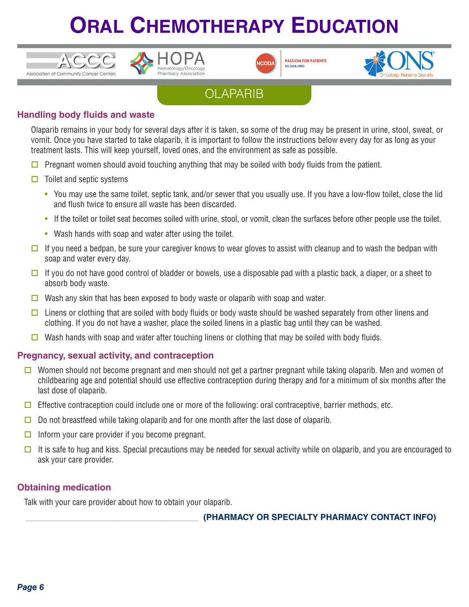





**PASSION FOR PATIENTS** NCODA.ORG



## **OLAPARIB**

### **Handling body fluids and waste**

Olaparib remains in your body for several days after it is taken, so some of the drug may be present in urine, stool, sweat, or vomit. Once you have started to take olaparib, it is important to follow the instructions below every day for as long as your treatment lasts. This will keep yourself, loved ones, and the environment as safe as possible.

- $\Box$  Pregnant women should avoid touching anything that may be soiled with body fluids from the patient.
- $\Box$  Toilet and septic systems
	- You may use the same toilet, septic tank, and/or sewer that you usually use. If you have a low-flow toilet, close the lid and flush twice to ensure all waste has been discarded.
	- If the toilet or toilet seat becomes soiled with urine, stool, or vomit, clean the surfaces before other people use the toilet.
	- Wash hands with soap and water after using the toilet.
- $\square$  If you need a bedpan, be sure your caregiver knows to wear gloves to assist with cleanup and to wash the bedpan with soap and water every day.
- $\Box$  If you do not have good control of bladder or bowels, use a disposable pad with a plastic back, a diaper, or a sheet to absorb body waste.
- $\Box$  Wash any skin that has been exposed to body waste or olaparib with soap and water.
- $\Box$  Linens or clothing that are soiled with body fluids or body waste should be washed separately from other linens and clothing. If you do not have a washer, place the soiled linens in a plastic bag until they can be washed.
- Wash hands with soap and water after touching linens or clothing that may be soiled with body fluids.

#### **Pregnancy, sexual activity, and contraception**

- Women should not become pregnant and men should not get a partner pregnant while taking olaparib. Men and women of childbearing age and potential should use effective contraception during therapy and for a minimum of six months after the last dose of olaparib.
- $\Box$  Effective contraception could include one or more of the following: oral contraceptive, barrier methods, etc.
- $\Box$  Do not breastfeed while taking olaparib and for one month after the last dose of olaparib.
- $\Box$  Inform your care provider if you become pregnant.
- $\Box$  It is safe to hug and kiss. Special precautions may be needed for sexual activity while on olaparib, and you are encouraged to ask your care provider.

#### **Obtaining medication**

Talk with your care provider about how to obtain your olaparib.

\_\_\_\_\_\_\_\_\_\_\_\_\_\_\_\_\_\_\_\_\_\_\_\_\_\_\_\_\_\_\_\_\_\_\_\_\_\_\_\_\_ **(PHARMACY OR SPECIALTY PHARMACY CONTACT INFO)**